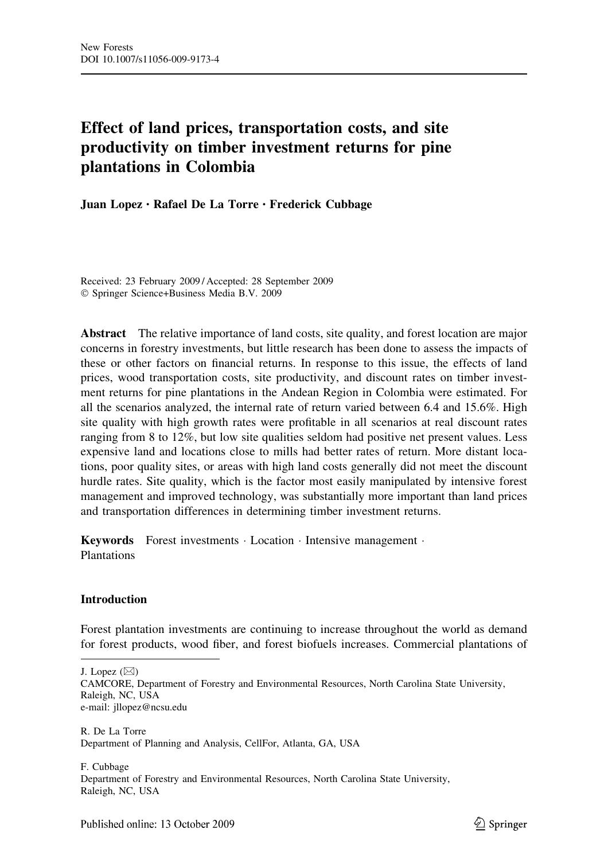# Effect of land prices, transportation costs, and site productivity on timber investment returns for pine plantations in Colombia

Juan Lopez • Rafael De La Torre • Frederick Cubbage

Received: 23 February 2009 / Accepted: 28 September 2009 - Springer Science+Business Media B.V. 2009

Abstract The relative importance of land costs, site quality, and forest location are major concerns in forestry investments, but little research has been done to assess the impacts of these or other factors on financial returns. In response to this issue, the effects of land prices, wood transportation costs, site productivity, and discount rates on timber investment returns for pine plantations in the Andean Region in Colombia were estimated. For all the scenarios analyzed, the internal rate of return varied between 6.4 and 15.6%. High site quality with high growth rates were profitable in all scenarios at real discount rates ranging from 8 to 12%, but low site qualities seldom had positive net present values. Less expensive land and locations close to mills had better rates of return. More distant locations, poor quality sites, or areas with high land costs generally did not meet the discount hurdle rates. Site quality, which is the factor most easily manipulated by intensive forest management and improved technology, was substantially more important than land prices and transportation differences in determining timber investment returns.

Keywords Forest investments - Location - Intensive management - **Plantations** 

## **Introduction**

Forest plantation investments are continuing to increase throughout the world as demand for forest products, wood fiber, and forest biofuels increases. Commercial plantations of

R. De La Torre Department of Planning and Analysis, CellFor, Atlanta, GA, USA

F. Cubbage Department of Forestry and Environmental Resources, North Carolina State University, Raleigh, NC, USA

J. Lopez  $(\boxtimes)$ 

CAMCORE, Department of Forestry and Environmental Resources, North Carolina State University, Raleigh, NC, USA e-mail: jllopez@ncsu.edu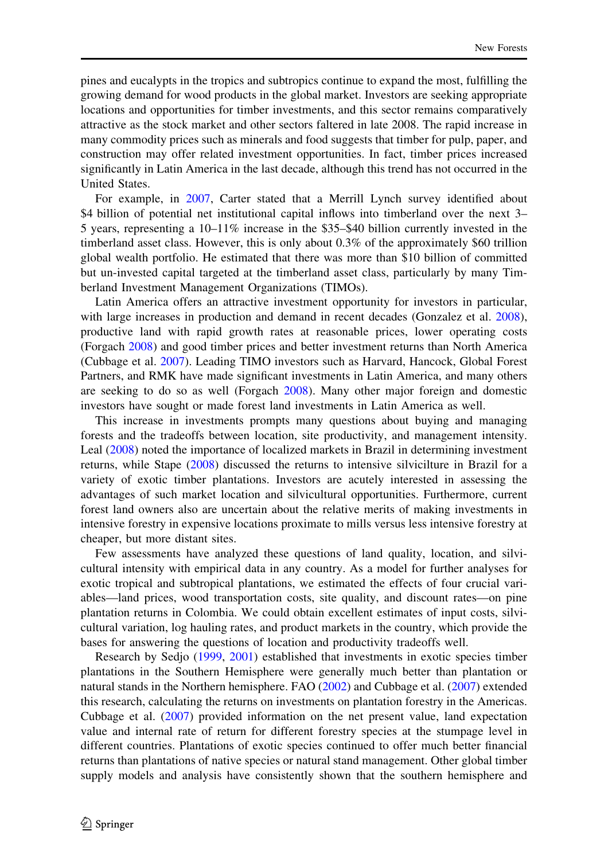pines and eucalypts in the tropics and subtropics continue to expand the most, fulfilling the growing demand for wood products in the global market. Investors are seeking appropriate locations and opportunities for timber investments, and this sector remains comparatively attractive as the stock market and other sectors faltered in late 2008. The rapid increase in many commodity prices such as minerals and food suggests that timber for pulp, paper, and construction may offer related investment opportunities. In fact, timber prices increased significantly in Latin America in the last decade, although this trend has not occurred in the United States.

For example, in 2007, Carter stated that a Merrill Lynch survey identified about \$4 billion of potential net institutional capital inflows into timberland over the next 3– 5 years, representing a 10–11% increase in the \$35–\$40 billion currently invested in the timberland asset class. However, this is only about 0.3% of the approximately \$60 trillion global wealth portfolio. He estimated that there was more than \$10 billion of committed but un-invested capital targeted at the timberland asset class, particularly by many Timberland Investment Management Organizations (TIMOs).

Latin America offers an attractive investment opportunity for investors in particular, with large increases in production and demand in recent decades (Gonzalez et al. 2008), productive land with rapid growth rates at reasonable prices, lower operating costs (Forgach 2008) and good timber prices and better investment returns than North America (Cubbage et al. 2007). Leading TIMO investors such as Harvard, Hancock, Global Forest Partners, and RMK have made significant investments in Latin America, and many others are seeking to do so as well (Forgach 2008). Many other major foreign and domestic investors have sought or made forest land investments in Latin America as well.

This increase in investments prompts many questions about buying and managing forests and the tradeoffs between location, site productivity, and management intensity. Leal (2008) noted the importance of localized markets in Brazil in determining investment returns, while Stape (2008) discussed the returns to intensive silvicilture in Brazil for a variety of exotic timber plantations. Investors are acutely interested in assessing the advantages of such market location and silvicultural opportunities. Furthermore, current forest land owners also are uncertain about the relative merits of making investments in intensive forestry in expensive locations proximate to mills versus less intensive forestry at cheaper, but more distant sites.

Few assessments have analyzed these questions of land quality, location, and silvicultural intensity with empirical data in any country. As a model for further analyses for exotic tropical and subtropical plantations, we estimated the effects of four crucial variables—land prices, wood transportation costs, site quality, and discount rates—on pine plantation returns in Colombia. We could obtain excellent estimates of input costs, silvicultural variation, log hauling rates, and product markets in the country, which provide the bases for answering the questions of location and productivity tradeoffs well.

Research by Sedjo (1999, 2001) established that investments in exotic species timber plantations in the Southern Hemisphere were generally much better than plantation or natural stands in the Northern hemisphere. FAO (2002) and Cubbage et al. (2007) extended this research, calculating the returns on investments on plantation forestry in the Americas. Cubbage et al. (2007) provided information on the net present value, land expectation value and internal rate of return for different forestry species at the stumpage level in different countries. Plantations of exotic species continued to offer much better financial returns than plantations of native species or natural stand management. Other global timber supply models and analysis have consistently shown that the southern hemisphere and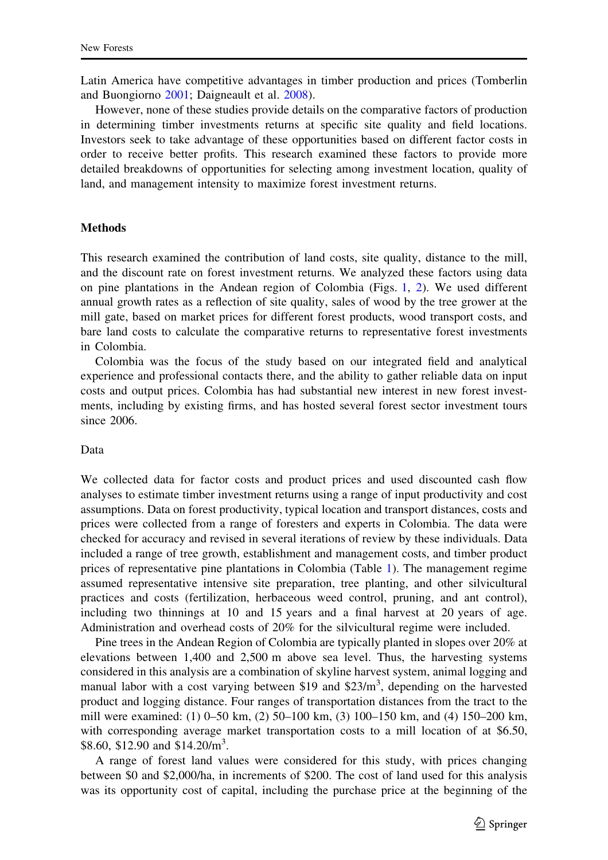Latin America have competitive advantages in timber production and prices (Tomberlin and Buongiorno 2001; Daigneault et al. 2008).

However, none of these studies provide details on the comparative factors of production in determining timber investments returns at specific site quality and field locations. Investors seek to take advantage of these opportunities based on different factor costs in order to receive better profits. This research examined these factors to provide more detailed breakdowns of opportunities for selecting among investment location, quality of land, and management intensity to maximize forest investment returns.

### Methods

This research examined the contribution of land costs, site quality, distance to the mill, and the discount rate on forest investment returns. We analyzed these factors using data on pine plantations in the Andean region of Colombia (Figs. 1, 2). We used different annual growth rates as a reflection of site quality, sales of wood by the tree grower at the mill gate, based on market prices for different forest products, wood transport costs, and bare land costs to calculate the comparative returns to representative forest investments in Colombia.

Colombia was the focus of the study based on our integrated field and analytical experience and professional contacts there, and the ability to gather reliable data on input costs and output prices. Colombia has had substantial new interest in new forest investments, including by existing firms, and has hosted several forest sector investment tours since 2006.

#### Data

We collected data for factor costs and product prices and used discounted cash flow analyses to estimate timber investment returns using a range of input productivity and cost assumptions. Data on forest productivity, typical location and transport distances, costs and prices were collected from a range of foresters and experts in Colombia. The data were checked for accuracy and revised in several iterations of review by these individuals. Data included a range of tree growth, establishment and management costs, and timber product prices of representative pine plantations in Colombia (Table 1). The management regime assumed representative intensive site preparation, tree planting, and other silvicultural practices and costs (fertilization, herbaceous weed control, pruning, and ant control), including two thinnings at 10 and 15 years and a final harvest at 20 years of age. Administration and overhead costs of 20% for the silvicultural regime were included.

Pine trees in the Andean Region of Colombia are typically planted in slopes over 20% at elevations between 1,400 and 2,500 m above sea level. Thus, the harvesting systems considered in this analysis are a combination of skyline harvest system, animal logging and manual labor with a cost varying between \$19 and  $$23/m<sup>3</sup>$ , depending on the harvested product and logging distance. Four ranges of transportation distances from the tract to the mill were examined: (1) 0–50 km, (2) 50–100 km, (3) 100–150 km, and (4) 150–200 km, with corresponding average market transportation costs to a mill location of at \$6.50, \$8.60, \$12.90 and \$14.20/m<sup>3</sup>.

A range of forest land values were considered for this study, with prices changing between \$0 and \$2,000/ha, in increments of \$200. The cost of land used for this analysis was its opportunity cost of capital, including the purchase price at the beginning of the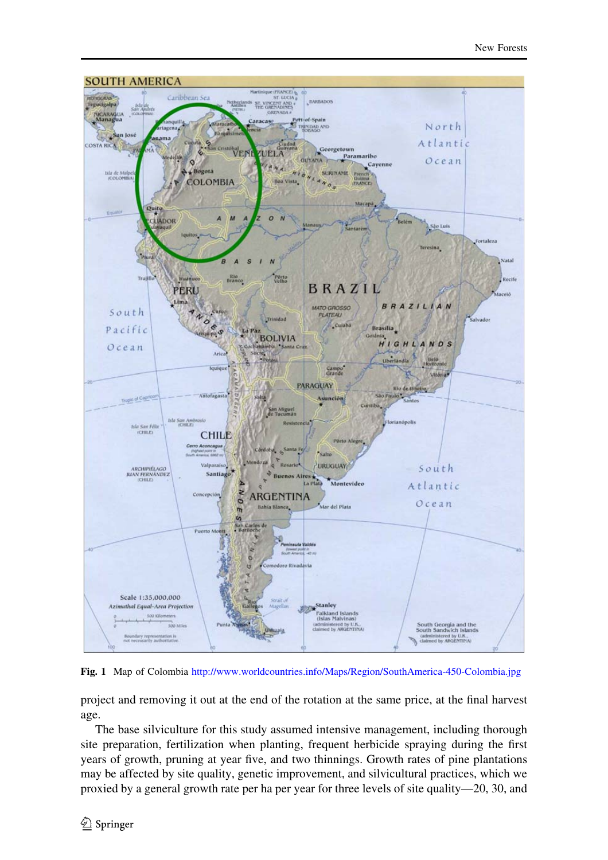

Fig. 1 Map of Colombia http://www.worldcountries.info/Maps/Region/SouthAmerica-450-Colombia.jpg

project and removing it out at the end of the rotation at the same price, at the final harvest age.

The base silviculture for this study assumed intensive management, including thorough site preparation, fertilization when planting, frequent herbicide spraying during the first years of growth, pruning at year five, and two thinnings. Growth rates of pine plantations may be affected by site quality, genetic improvement, and silvicultural practices, which we proxied by a general growth rate per ha per year for three levels of site quality—20, 30, and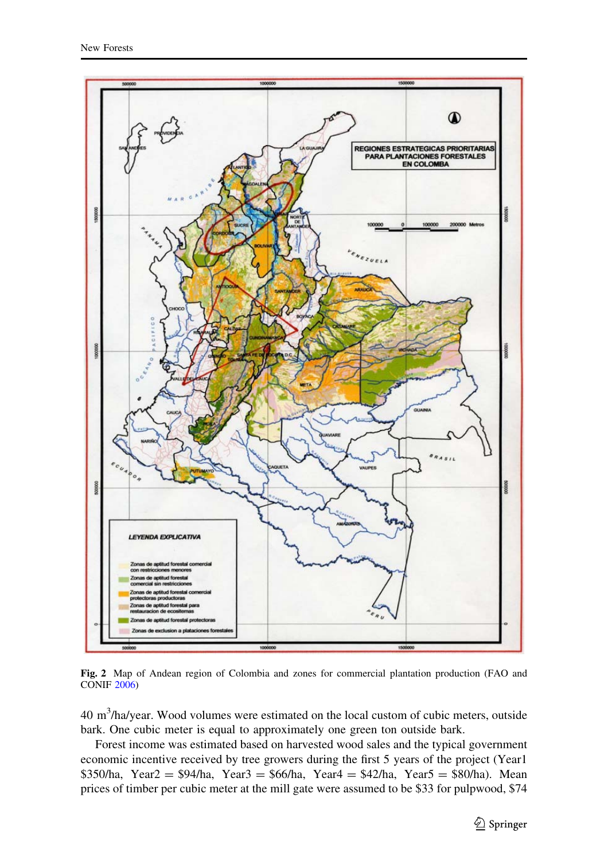

Fig. 2 Map of Andean region of Colombia and zones for commercial plantation production (FAO and CONIF 2006)

40 m<sup>3</sup>/ha/year. Wood volumes were estimated on the local custom of cubic meters, outside bark. One cubic meter is equal to approximately one green ton outside bark.

Forest income was estimated based on harvested wood sales and the typical government economic incentive received by tree growers during the first 5 years of the project (Year1  $$350/ha$ , Year2 = \$94/ha, Year3 = \$66/ha, Year4 = \$42/ha, Year5 = \$80/ha). Mean prices of timber per cubic meter at the mill gate were assumed to be \$33 for pulpwood, \$74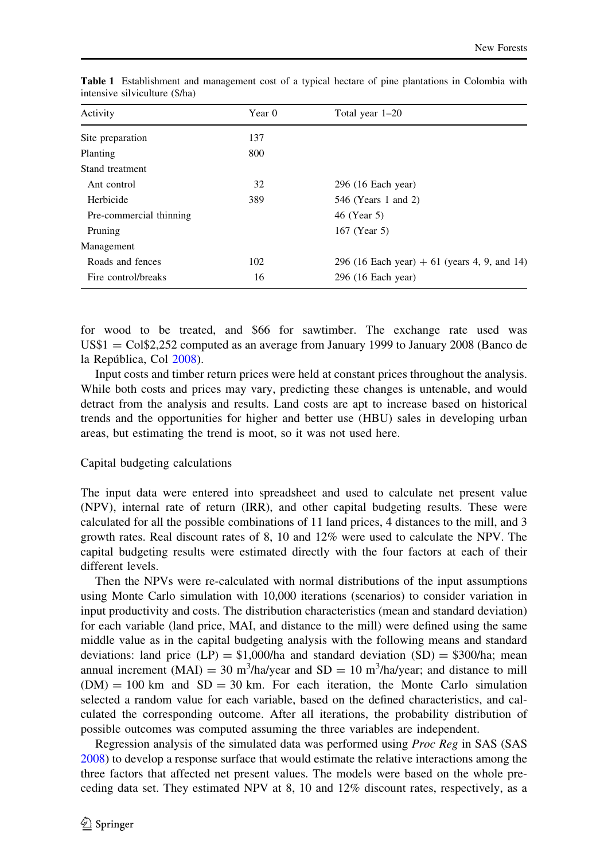| Activity                | Year 0 | Total year 1–20                                |
|-------------------------|--------|------------------------------------------------|
| Site preparation        | 137    |                                                |
| Planting                | 800    |                                                |
| Stand treatment         |        |                                                |
| Ant control             | 32     | 296 (16 Each year)                             |
| Herbicide               | 389    | 546 (Years 1 and 2)                            |
| Pre-commercial thinning |        | 46 (Year 5)                                    |
| Pruning                 |        | 167 (Year 5)                                   |
| Management              |        |                                                |
| Roads and fences        | 102    | 296 (16 Each year) $+ 61$ (years 4, 9, and 14) |
| Fire control/breaks     | 16     | 296 (16 Each year)                             |

Table 1 Establishment and management cost of a typical hectare of pine plantations in Colombia with intensive silviculture (\$/ha)

for wood to be treated, and \$66 for sawtimber. The exchange rate used was US\$1 = Col\$2,252 computed as an average from January 1999 to January 2008 (Banco de la República, Col 2008).

Input costs and timber return prices were held at constant prices throughout the analysis. While both costs and prices may vary, predicting these changes is untenable, and would detract from the analysis and results. Land costs are apt to increase based on historical trends and the opportunities for higher and better use (HBU) sales in developing urban areas, but estimating the trend is moot, so it was not used here.

## Capital budgeting calculations

The input data were entered into spreadsheet and used to calculate net present value (NPV), internal rate of return (IRR), and other capital budgeting results. These were calculated for all the possible combinations of 11 land prices, 4 distances to the mill, and 3 growth rates. Real discount rates of 8, 10 and 12% were used to calculate the NPV. The capital budgeting results were estimated directly with the four factors at each of their different levels.

Then the NPVs were re-calculated with normal distributions of the input assumptions using Monte Carlo simulation with 10,000 iterations (scenarios) to consider variation in input productivity and costs. The distribution characteristics (mean and standard deviation) for each variable (land price, MAI, and distance to the mill) were defined using the same middle value as in the capital budgeting analysis with the following means and standard deviations: land price  $(LP) = $1,000/ha$  and standard deviation  $(SD) = $300/ha$ ; mean annual increment (MAI) = 30 m<sup>3</sup>/ha/year and SD = 10 m<sup>3</sup>/ha/year; and distance to mill  $(DM) = 100$  km and  $SD = 30$  km. For each iteration, the Monte Carlo simulation selected a random value for each variable, based on the defined characteristics, and calculated the corresponding outcome. After all iterations, the probability distribution of possible outcomes was computed assuming the three variables are independent.

Regression analysis of the simulated data was performed using Proc Reg in SAS (SAS 2008) to develop a response surface that would estimate the relative interactions among the three factors that affected net present values. The models were based on the whole preceding data set. They estimated NPV at 8, 10 and 12% discount rates, respectively, as a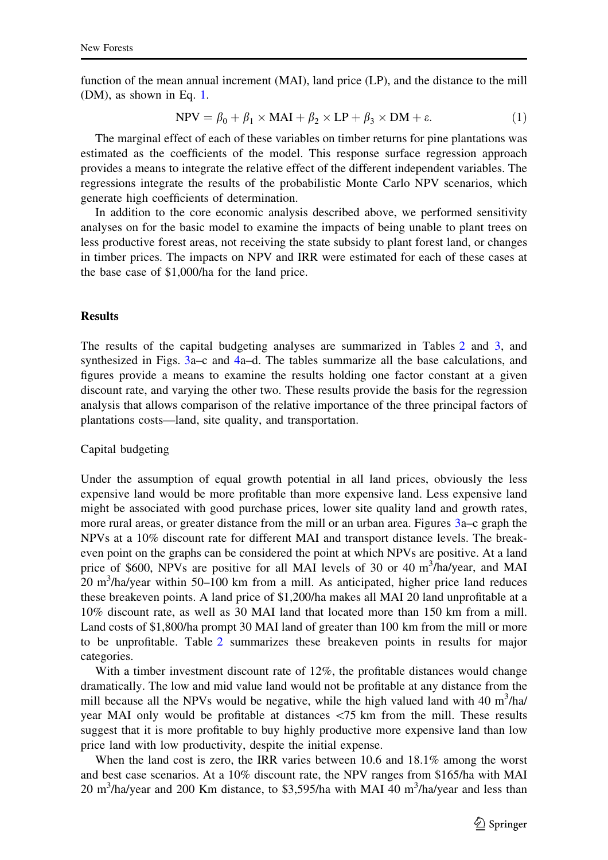function of the mean annual increment (MAI), land price (LP), and the distance to the mill (DM), as shown in Eq. 1.

$$
NPV = \beta_0 + \beta_1 \times MAI + \beta_2 \times LP + \beta_3 \times DM + \varepsilon.
$$
 (1)

The marginal effect of each of these variables on timber returns for pine plantations was estimated as the coefficients of the model. This response surface regression approach provides a means to integrate the relative effect of the different independent variables. The regressions integrate the results of the probabilistic Monte Carlo NPV scenarios, which generate high coefficients of determination.

In addition to the core economic analysis described above, we performed sensitivity analyses on for the basic model to examine the impacts of being unable to plant trees on less productive forest areas, not receiving the state subsidy to plant forest land, or changes in timber prices. The impacts on NPV and IRR were estimated for each of these cases at the base case of \$1,000/ha for the land price.

#### **Results**

The results of the capital budgeting analyses are summarized in Tables 2 and 3, and synthesized in Figs. 3a–c and 4a–d. The tables summarize all the base calculations, and figures provide a means to examine the results holding one factor constant at a given discount rate, and varying the other two. These results provide the basis for the regression analysis that allows comparison of the relative importance of the three principal factors of plantations costs—land, site quality, and transportation.

#### Capital budgeting

Under the assumption of equal growth potential in all land prices, obviously the less expensive land would be more profitable than more expensive land. Less expensive land might be associated with good purchase prices, lower site quality land and growth rates, more rural areas, or greater distance from the mill or an urban area. Figures 3a–c graph the NPVs at a 10% discount rate for different MAI and transport distance levels. The breakeven point on the graphs can be considered the point at which NPVs are positive. At a land price of \$600, NPVs are positive for all MAI levels of 30 or 40 m<sup>3</sup>/ha/year, and MAI  $20 \text{ m}^3$ /ha/year within 50–100 km from a mill. As anticipated, higher price land reduces these breakeven points. A land price of \$1,200/ha makes all MAI 20 land unprofitable at a 10% discount rate, as well as 30 MAI land that located more than 150 km from a mill. Land costs of \$1,800/ha prompt 30 MAI land of greater than 100 km from the mill or more to be unprofitable. Table 2 summarizes these breakeven points in results for major categories.

With a timber investment discount rate of 12%, the profitable distances would change dramatically. The low and mid value land would not be profitable at any distance from the mill because all the NPVs would be negative, while the high valued land with  $40 \text{ m}^3/\text{ha}$ year MAI only would be profitable at distances \75 km from the mill. These results suggest that it is more profitable to buy highly productive more expensive land than low price land with low productivity, despite the initial expense.

When the land cost is zero, the IRR varies between 10.6 and 18.1% among the worst and best case scenarios. At a 10% discount rate, the NPV ranges from \$165/ha with MAI 20 m<sup>3</sup>/ha/year and 200 Km distance, to \$3,595/ha with MAI 40 m<sup>3</sup>/ha/year and less than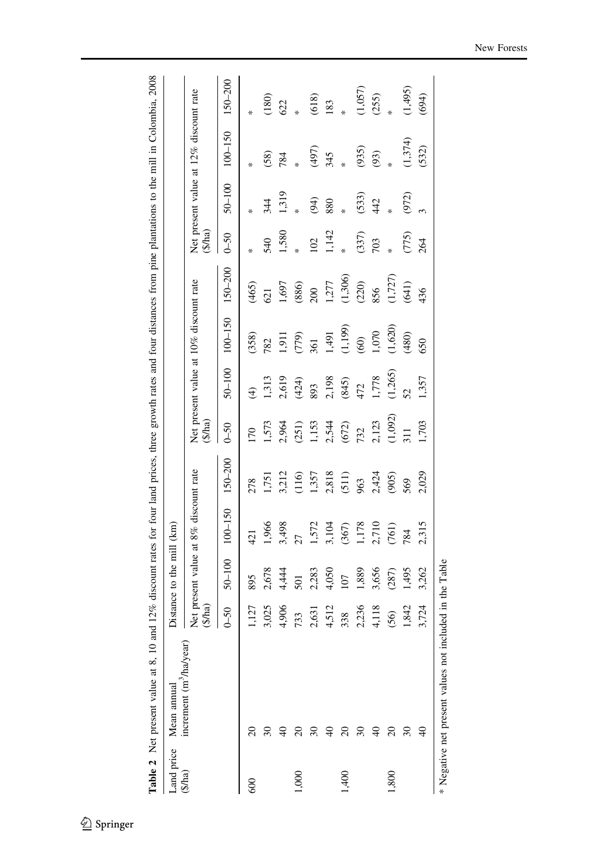|       | Table 2 Net present value at 8, 10 and 12% discount rates for |                   |                           |             | four land prices, three growth rates and four distances from pine plantations to the mill in Colombia, 2008 |                  |                         |                                        |             |                                     |            |                                        |             |
|-------|---------------------------------------------------------------|-------------------|---------------------------|-------------|-------------------------------------------------------------------------------------------------------------|------------------|-------------------------|----------------------------------------|-------------|-------------------------------------|------------|----------------------------------------|-------------|
|       | Land price Mean annual                                        |                   | Distance to the mill (km) |             |                                                                                                             |                  |                         |                                        |             |                                     |            |                                        |             |
| (Sha) | increment (m <sup>3</sup> /ha/year)                           | $(\frac{\$}{na})$ | Net present value at 8%   |             | discount rate                                                                                               | $(\$\text{fha})$ |                         | Net present value at 10% discount rate |             | $(\mathbb{S}/\mathbb{h}\mathbb{a})$ |            | Net present value at 12% discount rate |             |
|       |                                                               | $0 - 50$          | $50 - 100$                | $100 - 150$ | $150 - 200$                                                                                                 | $0 - 50$         | $50 - 100$              | $100 - 150$                            | $150 - 200$ | $0 - 50$                            | $50 - 100$ | $100 - 150$                            | $150 - 200$ |
| 600   | $\overline{c}$                                                | 1,127             | 895                       | 421         | 278                                                                                                         | 170              | $\widehat{\mathcal{L}}$ | (358)                                  | (465)       |                                     | ₩          |                                        |             |
|       | $\Im 0$                                                       | 3,025             | 2,678                     | 1,966       | 1,751                                                                                                       | 1,573            | 1,313                   | 782                                    | 621         | 540                                 | 344        | (58)                                   | $(180)$     |
|       |                                                               | 4,906             | 4,444                     | 3,498       | 3,212                                                                                                       | 2,964            | 2,619                   | 1,911                                  | 1,697       | 1,580                               | 1,319      | 784                                    | 622         |
| 1,000 |                                                               | 733               | 501                       | 27          | (116)                                                                                                       | (251)            | (424)                   | (779)                                  | (886)       |                                     |            |                                        |             |
|       | 30                                                            | 2,631             | 2,283                     | 1,572       | 1,357                                                                                                       |                  | 893                     | 361                                    | 200         | 102                                 | (94)       | (164)                                  | (618)       |
|       |                                                               | 4,512             | 4,050                     | 3,104       | 2,818                                                                                                       | $1,153$<br>2,544 | 2,198                   | 1,491                                  | 1,277       | 1,142                               | 880        | 345                                    | 183         |
| 1,400 | $\Omega$                                                      | 338               | 107                       | (367)       | (511)                                                                                                       | (672)            | (845)                   | (1, 199)                               | (1,306)     |                                     |            |                                        |             |
|       | $\Im 0$                                                       | 2,236             | 1,889                     | 1,178       | 963                                                                                                         | 732              | 472                     | (60)                                   | (220)       | (337)                               | (533)      | (935)                                  | (1,057)     |
|       | $\overline{4}$                                                | 4,118             | 3,656                     | 2,710       | 2,424                                                                                                       | 2,123            | 1,778                   | 1,070                                  | 856         | 703                                 | 442        | (93)                                   | (255)       |
| 1,800 | $\Omega$                                                      | (56)              | (287)                     | (761)       | (905)                                                                                                       | (1,092)          | (1,265)                 | (1,620)                                | (1,727)     |                                     |            |                                        |             |
|       | $\overline{\mathcal{E}}$                                      | 1,842             | 1,495                     | 784         | 569                                                                                                         |                  |                         | (480)                                  | (641)       | (775)                               | (972)      | (1,374)                                | (1,495)     |
|       | $\partial_0$                                                  | 3,724             | 3,262                     | 5<br>2,31   | 2,029                                                                                                       | 1,703            | 1,357                   | 650                                    | 436         | 264                                 |            | (532)                                  | (694)       |
|       | * Negative net present values not included in the Table       |                   |                           |             |                                                                                                             |                  |                         |                                        |             |                                     |            |                                        |             |

New Forests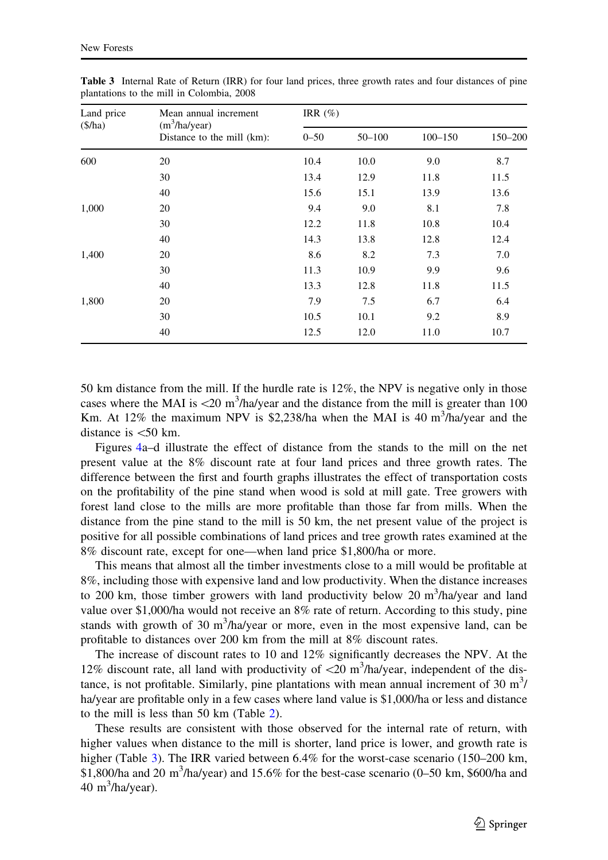| Land price<br>\$/ha) | Mean annual increment<br>(m <sup>3</sup> /ha/year) | IRR $(\%)$ |            |             |         |
|----------------------|----------------------------------------------------|------------|------------|-------------|---------|
|                      | Distance to the mill (km):                         | $0 - 50$   | $50 - 100$ | $100 - 150$ | 150-200 |
| 600                  | 20                                                 | 10.4       | 10.0       | 9.0         | 8.7     |
|                      | 30                                                 | 13.4       | 12.9       | 11.8        | 11.5    |
|                      | 40                                                 | 15.6       | 15.1       | 13.9        | 13.6    |
| 1,000                | 20                                                 | 9.4        | 9.0        | 8.1         | 7.8     |
|                      | 30                                                 | 12.2       | 11.8       | 10.8        | 10.4    |
|                      | 40                                                 | 14.3       | 13.8       | 12.8        | 12.4    |
| 1,400                | 20                                                 | 8.6        | 8.2        | 7.3         | 7.0     |
|                      | 30                                                 | 11.3       | 10.9       | 9.9         | 9.6     |
|                      | 40                                                 | 13.3       | 12.8       | 11.8        | 11.5    |
| 1,800                | 20                                                 | 7.9        | 7.5        | 6.7         | 6.4     |
|                      | 30                                                 | 10.5       | 10.1       | 9.2         | 8.9     |
|                      | 40                                                 | 12.5       | 12.0       | 11.0        | 10.7    |

Table 3 Internal Rate of Return (IRR) for four land prices, three growth rates and four distances of pine plantations to the mill in Colombia, 2008

50 km distance from the mill. If the hurdle rate is 12%, the NPV is negative only in those cases where the MAI is  $\langle 20 \text{ m}^3/\text{h}a/\text{year}$  and the distance from the mill is greater than 100 Km. At 12% the maximum NPV is \$2,238/ha when the MAI is 40 m<sup>3</sup>/ha/year and the distance is  $\lt$  50 km.

Figures 4a–d illustrate the effect of distance from the stands to the mill on the net present value at the 8% discount rate at four land prices and three growth rates. The difference between the first and fourth graphs illustrates the effect of transportation costs on the profitability of the pine stand when wood is sold at mill gate. Tree growers with forest land close to the mills are more profitable than those far from mills. When the distance from the pine stand to the mill is 50 km, the net present value of the project is positive for all possible combinations of land prices and tree growth rates examined at the 8% discount rate, except for one—when land price \$1,800/ha or more.

This means that almost all the timber investments close to a mill would be profitable at 8%, including those with expensive land and low productivity. When the distance increases to 200 km, those timber growers with land productivity below 20 m<sup>3</sup>/ha/year and land value over \$1,000/ha would not receive an 8% rate of return. According to this study, pine stands with growth of 30  $m^3$ /ha/year or more, even in the most expensive land, can be profitable to distances over 200 km from the mill at 8% discount rates.

The increase of discount rates to 10 and 12% significantly decreases the NPV. At the 12% discount rate, all land with productivity of  $\langle 20 \text{ m}^3/\text{h}a/\text{year}$ , independent of the distance, is not profitable. Similarly, pine plantations with mean annual increment of 30  $m<sup>3</sup>/$ ha/year are profitable only in a few cases where land value is \$1,000/ha or less and distance to the mill is less than 50 km (Table 2).

These results are consistent with those observed for the internal rate of return, with higher values when distance to the mill is shorter, land price is lower, and growth rate is higher (Table 3). The IRR varied between 6.4% for the worst-case scenario (150–200 km,  $$1,800/ha$  and 20 m<sup>3</sup>/ha/year) and 15.6% for the best-case scenario (0–50 km, \$600/ha and  $40 \text{ m}^3$ /ha/year).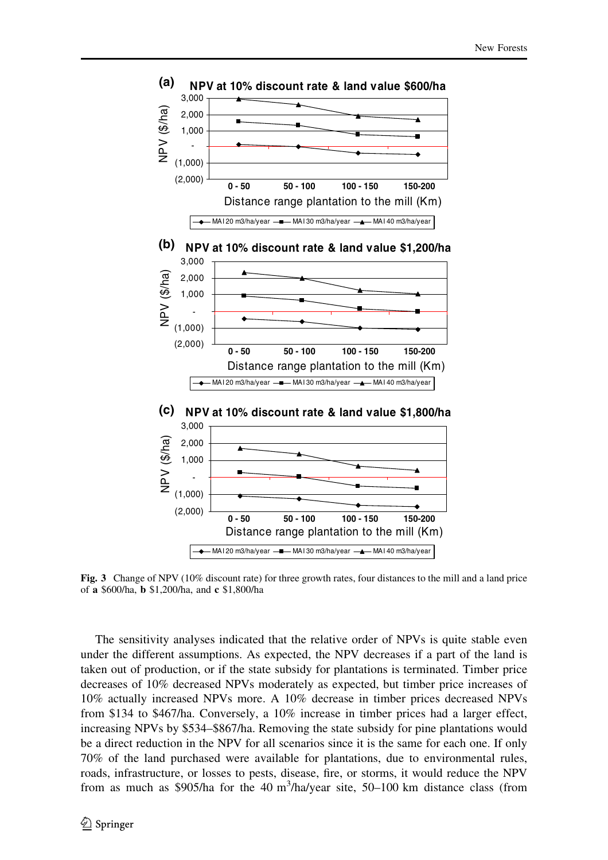

Fig. 3 Change of NPV (10% discount rate) for three growth rates, four distances to the mill and a land price of a \$600/ha, b \$1,200/ha, and c \$1,800/ha

The sensitivity analyses indicated that the relative order of NPVs is quite stable even under the different assumptions. As expected, the NPV decreases if a part of the land is taken out of production, or if the state subsidy for plantations is terminated. Timber price decreases of 10% decreased NPVs moderately as expected, but timber price increases of 10% actually increased NPVs more. A 10% decrease in timber prices decreased NPVs from \$134 to \$467/ha. Conversely, a 10% increase in timber prices had a larger effect, increasing NPVs by \$534–\$867/ha. Removing the state subsidy for pine plantations would be a direct reduction in the NPV for all scenarios since it is the same for each one. If only 70% of the land purchased were available for plantations, due to environmental rules, roads, infrastructure, or losses to pests, disease, fire, or storms, it would reduce the NPV from as much as \$905/ha for the 40  $m^3/ha$ /year site, 50–100 km distance class (from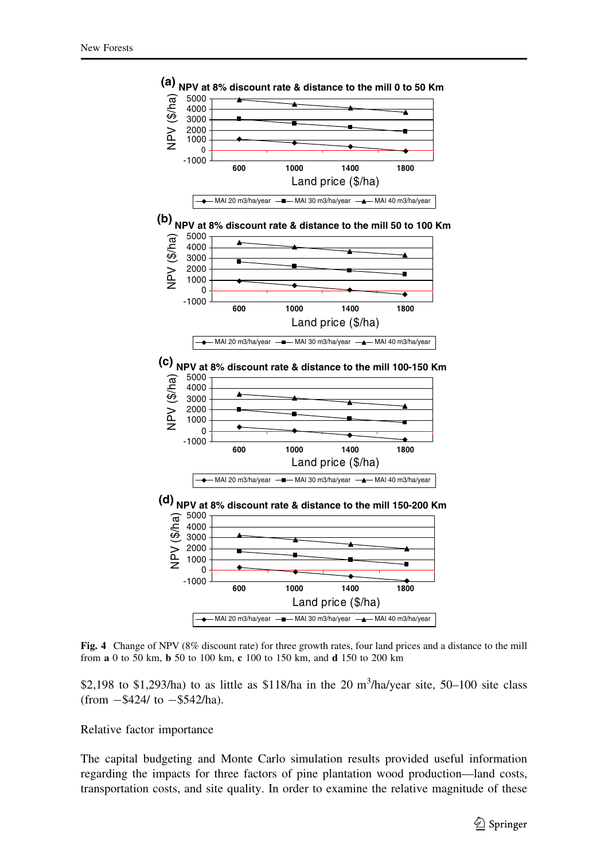

Fig. 4 Change of NPV (8% discount rate) for three growth rates, four land prices and a distance to the mill from a 0 to 50 km, b 50 to 100 km, c 100 to 150 km, and d 150 to 200 km

\$2,198 to \$1,293/ha) to as little as \$118/ha in the 20 m<sup>3</sup>/ha/year site, 50–100 site class  $(from - $424/ to - $542/ha).$ 

#### Relative factor importance

The capital budgeting and Monte Carlo simulation results provided useful information regarding the impacts for three factors of pine plantation wood production—land costs, transportation costs, and site quality. In order to examine the relative magnitude of these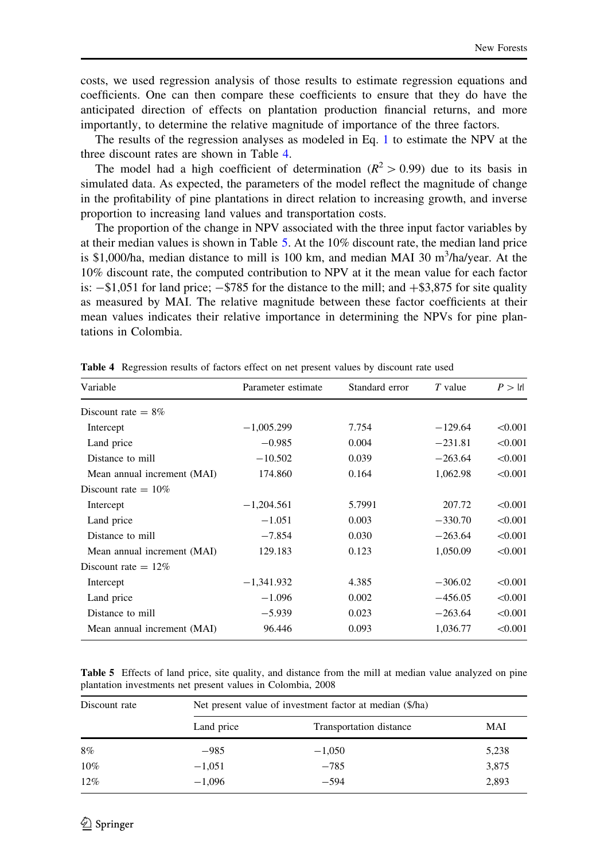costs, we used regression analysis of those results to estimate regression equations and coefficients. One can then compare these coefficients to ensure that they do have the anticipated direction of effects on plantation production financial returns, and more importantly, to determine the relative magnitude of importance of the three factors.

The results of the regression analyses as modeled in Eq. 1 to estimate the NPV at the three discount rates are shown in Table 4.

The model had a high coefficient of determination ( $R^2 > 0.99$ ) due to its basis in simulated data. As expected, the parameters of the model reflect the magnitude of change in the profitability of pine plantations in direct relation to increasing growth, and inverse proportion to increasing land values and transportation costs.

The proportion of the change in NPV associated with the three input factor variables by at their median values is shown in Table 5. At the 10% discount rate, the median land price is \$1,000/ha, median distance to mill is 100 km, and median MAI 30  $m^3/ha$ /year. At the 10% discount rate, the computed contribution to NPV at it the mean value for each factor is:  $-$ \$1,051 for land price;  $-$ \$785 for the distance to the mill; and  $+$ \$3,875 for site quality as measured by MAI. The relative magnitude between these factor coefficients at their mean values indicates their relative importance in determining the NPVs for pine plantations in Colombia.

| Variable                    | Parameter estimate | Standard error | T value   | P >  t  |
|-----------------------------|--------------------|----------------|-----------|---------|
| Discount rate $= 8\%$       |                    |                |           |         |
| Intercept                   | $-1,005.299$       | 7.754          | $-129.64$ | < 0.001 |
| Land price                  | $-0.985$           | 0.004          | $-231.81$ | < 0.001 |
| Distance to mill            | $-10.502$          | 0.039          | $-263.64$ | < 0.001 |
| Mean annual increment (MAI) | 174.860            | 0.164          | 1,062.98  | < 0.001 |
| Discount rate $= 10\%$      |                    |                |           |         |
| Intercept                   | $-1,204.561$       | 5.7991         | 207.72    | < 0.001 |
| Land price                  | $-1.051$           | 0.003          | $-330.70$ | < 0.001 |
| Distance to mill            | $-7.854$           | 0.030          | $-263.64$ | < 0.001 |
| Mean annual increment (MAI) | 129.183            | 0.123          | 1,050.09  | < 0.001 |
| Discount rate $= 12\%$      |                    |                |           |         |
| Intercept                   | $-1,341.932$       | 4.385          | $-306.02$ | < 0.001 |
| Land price                  | $-1.096$           | 0.002          | $-456.05$ | < 0.001 |
| Distance to mill            | $-5.939$           | 0.023          | $-263.64$ | < 0.001 |
| Mean annual increment (MAI) | 96.446             | 0.093          | 1,036.77  | < 0.001 |
|                             |                    |                |           |         |

Table 4 Regression results of factors effect on net present values by discount rate used

Table 5 Effects of land price, site quality, and distance from the mill at median value analyzed on pine plantation investments net present values in Colombia, 2008

| Discount rate |            | Net present value of investment factor at median (\$/ha) |       |
|---------------|------------|----------------------------------------------------------|-------|
|               | Land price | Transportation distance                                  | MAI   |
| 8%            | $-985$     | $-1,050$                                                 | 5,238 |
| $10\%$        | $-1,051$   | $-785$                                                   | 3,875 |
| $12\%$        | $-1,096$   | $-594$                                                   | 2,893 |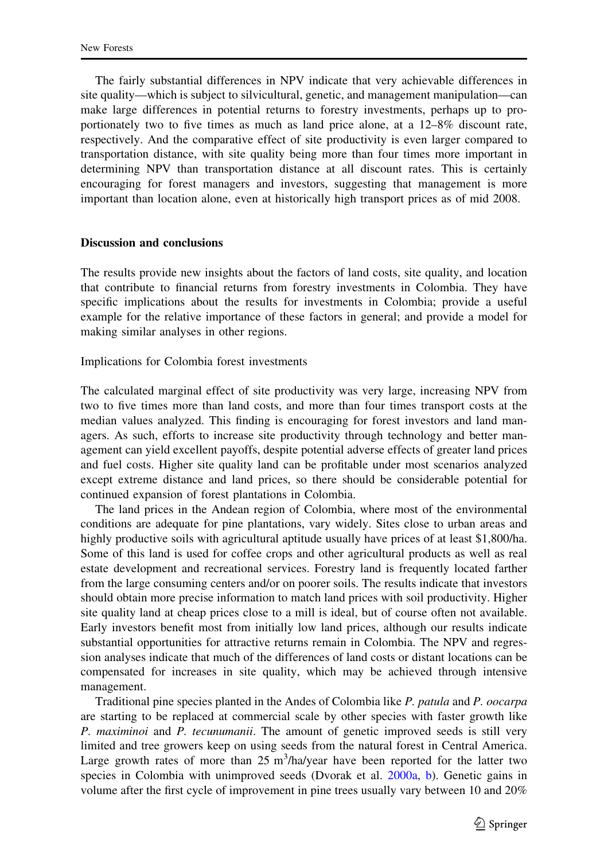The fairly substantial differences in NPV indicate that very achievable differences in site quality—which is subject to silvicultural, genetic, and management manipulation—can make large differences in potential returns to forestry investments, perhaps up to proportionately two to five times as much as land price alone, at a 12–8% discount rate, respectively. And the comparative effect of site productivity is even larger compared to transportation distance, with site quality being more than four times more important in determining NPV than transportation distance at all discount rates. This is certainly encouraging for forest managers and investors, suggesting that management is more important than location alone, even at historically high transport prices as of mid 2008.

## Discussion and conclusions

The results provide new insights about the factors of land costs, site quality, and location that contribute to financial returns from forestry investments in Colombia. They have specific implications about the results for investments in Colombia; provide a useful example for the relative importance of these factors in general; and provide a model for making similar analyses in other regions.

Implications for Colombia forest investments

The calculated marginal effect of site productivity was very large, increasing NPV from two to five times more than land costs, and more than four times transport costs at the median values analyzed. This finding is encouraging for forest investors and land managers. As such, efforts to increase site productivity through technology and better management can yield excellent payoffs, despite potential adverse effects of greater land prices and fuel costs. Higher site quality land can be profitable under most scenarios analyzed except extreme distance and land prices, so there should be considerable potential for continued expansion of forest plantations in Colombia.

The land prices in the Andean region of Colombia, where most of the environmental conditions are adequate for pine plantations, vary widely. Sites close to urban areas and highly productive soils with agricultural aptitude usually have prices of at least \$1,800/ha. Some of this land is used for coffee crops and other agricultural products as well as real estate development and recreational services. Forestry land is frequently located farther from the large consuming centers and/or on poorer soils. The results indicate that investors should obtain more precise information to match land prices with soil productivity. Higher site quality land at cheap prices close to a mill is ideal, but of course often not available. Early investors benefit most from initially low land prices, although our results indicate substantial opportunities for attractive returns remain in Colombia. The NPV and regression analyses indicate that much of the differences of land costs or distant locations can be compensated for increases in site quality, which may be achieved through intensive management.

Traditional pine species planted in the Andes of Colombia like P. patula and P. oocarpa are starting to be replaced at commercial scale by other species with faster growth like P. maximinoi and P. tecunumanii. The amount of genetic improved seeds is still very limited and tree growers keep on using seeds from the natural forest in Central America. Large growth rates of more than  $25 \text{ m}^3$ /ha/year have been reported for the latter two species in Colombia with unimproved seeds (Dvorak et al. 2000a, b). Genetic gains in volume after the first cycle of improvement in pine trees usually vary between 10 and 20%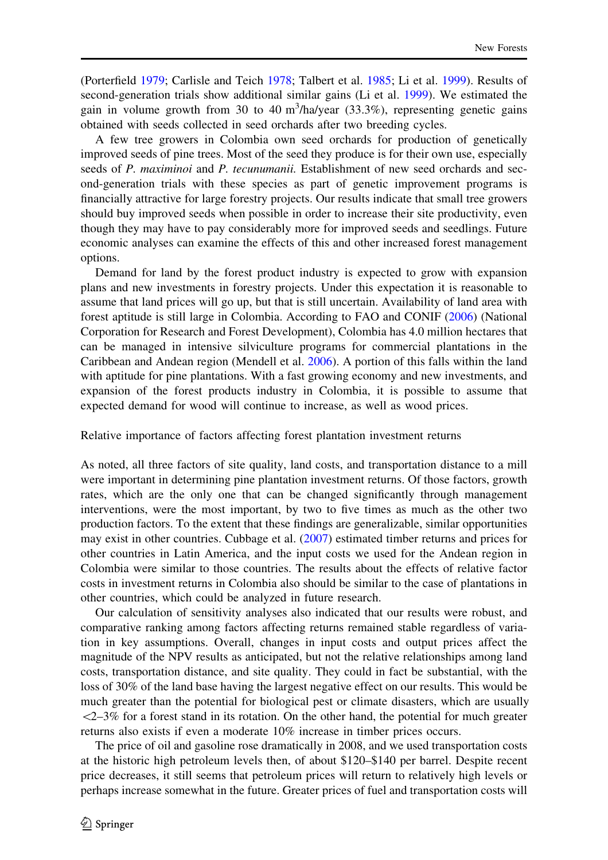(Porterfield 1979; Carlisle and Teich 1978; Talbert et al. 1985; Li et al. 1999). Results of second-generation trials show additional similar gains (Li et al. 1999). We estimated the gain in volume growth from 30 to 40 m<sup>3</sup>/ha/year (33.3%), representing genetic gains obtained with seeds collected in seed orchards after two breeding cycles.

A few tree growers in Colombia own seed orchards for production of genetically improved seeds of pine trees. Most of the seed they produce is for their own use, especially seeds of P. maximinoi and P. tecunumanii. Establishment of new seed orchards and second-generation trials with these species as part of genetic improvement programs is financially attractive for large forestry projects. Our results indicate that small tree growers should buy improved seeds when possible in order to increase their site productivity, even though they may have to pay considerably more for improved seeds and seedlings. Future economic analyses can examine the effects of this and other increased forest management options.

Demand for land by the forest product industry is expected to grow with expansion plans and new investments in forestry projects. Under this expectation it is reasonable to assume that land prices will go up, but that is still uncertain. Availability of land area with forest aptitude is still large in Colombia. According to FAO and CONIF (2006) (National Corporation for Research and Forest Development), Colombia has 4.0 million hectares that can be managed in intensive silviculture programs for commercial plantations in the Caribbean and Andean region (Mendell et al. 2006). A portion of this falls within the land with aptitude for pine plantations. With a fast growing economy and new investments, and expansion of the forest products industry in Colombia, it is possible to assume that expected demand for wood will continue to increase, as well as wood prices.

Relative importance of factors affecting forest plantation investment returns

As noted, all three factors of site quality, land costs, and transportation distance to a mill were important in determining pine plantation investment returns. Of those factors, growth rates, which are the only one that can be changed significantly through management interventions, were the most important, by two to five times as much as the other two production factors. To the extent that these findings are generalizable, similar opportunities may exist in other countries. Cubbage et al. (2007) estimated timber returns and prices for other countries in Latin America, and the input costs we used for the Andean region in Colombia were similar to those countries. The results about the effects of relative factor costs in investment returns in Colombia also should be similar to the case of plantations in other countries, which could be analyzed in future research.

Our calculation of sensitivity analyses also indicated that our results were robust, and comparative ranking among factors affecting returns remained stable regardless of variation in key assumptions. Overall, changes in input costs and output prices affect the magnitude of the NPV results as anticipated, but not the relative relationships among land costs, transportation distance, and site quality. They could in fact be substantial, with the loss of 30% of the land base having the largest negative effect on our results. This would be much greater than the potential for biological pest or climate disasters, which are usually  $\langle 2-\frac{3}{\%}$  for a forest stand in its rotation. On the other hand, the potential for much greater returns also exists if even a moderate 10% increase in timber prices occurs.

The price of oil and gasoline rose dramatically in 2008, and we used transportation costs at the historic high petroleum levels then, of about \$120–\$140 per barrel. Despite recent price decreases, it still seems that petroleum prices will return to relatively high levels or perhaps increase somewhat in the future. Greater prices of fuel and transportation costs will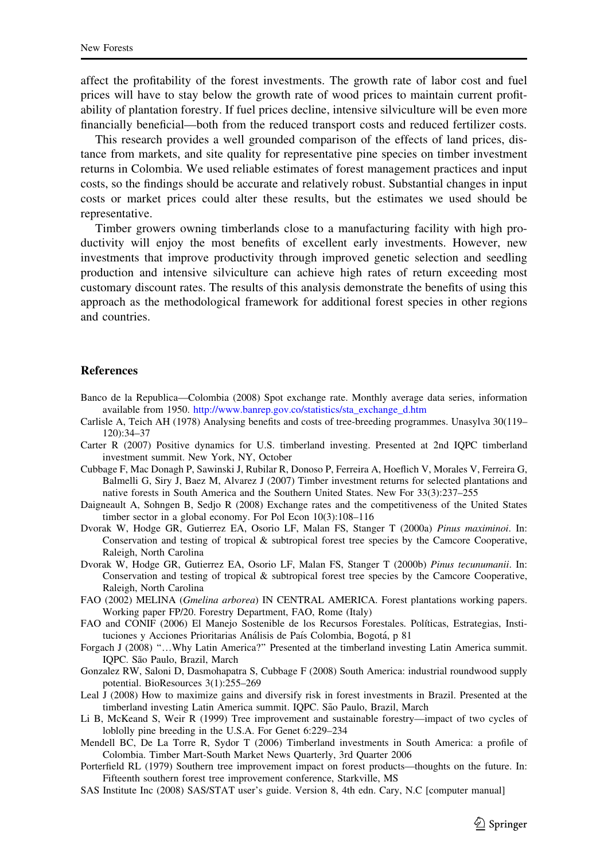affect the profitability of the forest investments. The growth rate of labor cost and fuel prices will have to stay below the growth rate of wood prices to maintain current profitability of plantation forestry. If fuel prices decline, intensive silviculture will be even more financially beneficial—both from the reduced transport costs and reduced fertilizer costs.

This research provides a well grounded comparison of the effects of land prices, distance from markets, and site quality for representative pine species on timber investment returns in Colombia. We used reliable estimates of forest management practices and input costs, so the findings should be accurate and relatively robust. Substantial changes in input costs or market prices could alter these results, but the estimates we used should be representative.

Timber growers owning timberlands close to a manufacturing facility with high productivity will enjoy the most benefits of excellent early investments. However, new investments that improve productivity through improved genetic selection and seedling production and intensive silviculture can achieve high rates of return exceeding most customary discount rates. The results of this analysis demonstrate the benefits of using this approach as the methodological framework for additional forest species in other regions and countries.

#### References

- Banco de la Republica—Colombia (2008) Spot exchange rate. Monthly average data series, information available from 1950. http://www.banrep.gov.co/statistics/sta\_exchange\_d.htm
- Carlisle A, Teich AH (1978) Analysing benefits and costs of tree-breeding programmes. Unasylva 30(119– 120):34–37
- Carter R (2007) Positive dynamics for U.S. timberland investing. Presented at 2nd IQPC timberland investment summit. New York, NY, October
- Cubbage F, Mac Donagh P, Sawinski J, Rubilar R, Donoso P, Ferreira A, Hoeflich V, Morales V, Ferreira G, Balmelli G, Siry J, Baez M, Alvarez J (2007) Timber investment returns for selected plantations and native forests in South America and the Southern United States. New For 33(3):237–255
- Daigneault A, Sohngen B, Sedjo R (2008) Exchange rates and the competitiveness of the United States timber sector in a global economy. For Pol Econ 10(3):108–116
- Dvorak W, Hodge GR, Gutierrez EA, Osorio LF, Malan FS, Stanger T (2000a) Pinus maximinoi. In: Conservation and testing of tropical & subtropical forest tree species by the Camcore Cooperative, Raleigh, North Carolina
- Dvorak W, Hodge GR, Gutierrez EA, Osorio LF, Malan FS, Stanger T (2000b) Pinus tecunumanii. In: Conservation and testing of tropical & subtropical forest tree species by the Camcore Cooperative, Raleigh, North Carolina
- FAO (2002) MELINA (Gmelina arborea) IN CENTRAL AMERICA. Forest plantations working papers. Working paper FP/20. Forestry Department, FAO, Rome (Italy)
- FAO and CONIF (2006) El Manejo Sostenible de los Recursos Forestales. Políticas, Estrategias, Instituciones y Acciones Prioritarias Análisis de País Colombia, Bogotá, p 81
- Forgach J (2008) ''…Why Latin America?'' Presented at the timberland investing Latin America summit. IQPC. São Paulo, Brazil, March
- Gonzalez RW, Saloni D, Dasmohapatra S, Cubbage F (2008) South America: industrial roundwood supply potential. BioResources 3(1):255–269
- Leal J (2008) How to maximize gains and diversify risk in forest investments in Brazil. Presented at the timberland investing Latin America summit. IQPC. São Paulo, Brazil, March
- Li B, McKeand S, Weir R (1999) Tree improvement and sustainable forestry—impact of two cycles of loblolly pine breeding in the U.S.A. For Genet 6:229–234
- Mendell BC, De La Torre R, Sydor T (2006) Timberland investments in South America: a profile of Colombia. Timber Mart-South Market News Quarterly, 3rd Quarter 2006
- Porterfield RL (1979) Southern tree improvement impact on forest products—thoughts on the future. In: Fifteenth southern forest tree improvement conference, Starkville, MS
- SAS Institute Inc (2008) SAS/STAT user's guide. Version 8, 4th edn. Cary, N.C [computer manual]